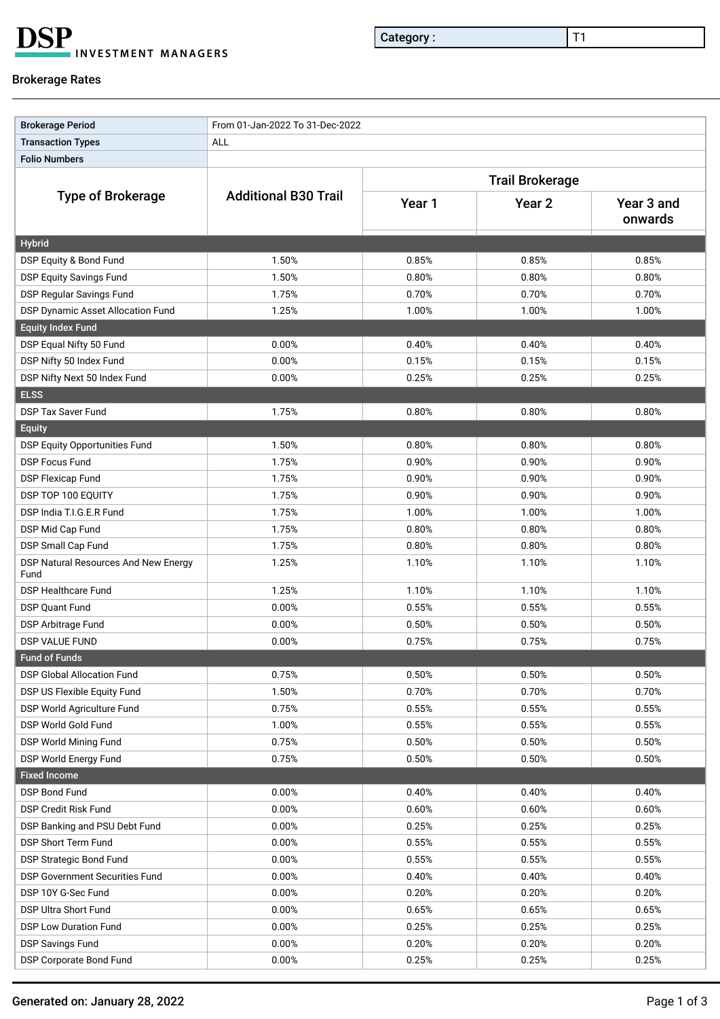**DSP INVESTMENT MANAGERS** 

Category : T1

## Brokerage Rates

| <b>Brokerage Period</b>                      | From 01-Jan-2022 To 31-Dec-2022 |                        |                   |                       |  |
|----------------------------------------------|---------------------------------|------------------------|-------------------|-----------------------|--|
| <b>Transaction Types</b>                     | <b>ALL</b>                      |                        |                   |                       |  |
| <b>Folio Numbers</b>                         |                                 |                        |                   |                       |  |
|                                              |                                 | <b>Trail Brokerage</b> |                   |                       |  |
| <b>Type of Brokerage</b>                     | <b>Additional B30 Trail</b>     |                        |                   |                       |  |
|                                              |                                 | Year 1                 | Year <sub>2</sub> | Year 3 and<br>onwards |  |
| Hybrid                                       |                                 |                        |                   |                       |  |
| DSP Equity & Bond Fund                       | 1.50%                           | 0.85%                  | 0.85%             | 0.85%                 |  |
| <b>DSP Equity Savings Fund</b>               | 1.50%                           | 0.80%                  | 0.80%             | 0.80%                 |  |
| <b>DSP Regular Savings Fund</b>              | 1.75%                           | 0.70%                  | 0.70%             | 0.70%                 |  |
| DSP Dynamic Asset Allocation Fund            | 1.25%                           | 1.00%                  | 1.00%             | 1.00%                 |  |
| <b>Equity Index Fund</b>                     |                                 |                        |                   |                       |  |
| DSP Equal Nifty 50 Fund                      | 0.00%                           | 0.40%                  | 0.40%             | 0.40%                 |  |
| DSP Nifty 50 Index Fund                      | 0.00%                           | 0.15%                  | 0.15%             | 0.15%                 |  |
| DSP Nifty Next 50 Index Fund                 | 0.00%                           | 0.25%                  | 0.25%             | 0.25%                 |  |
| <b>ELSS</b>                                  |                                 |                        |                   |                       |  |
| <b>DSP Tax Saver Fund</b>                    | 1.75%                           | 0.80%                  | 0.80%             | 0.80%                 |  |
| Equity                                       |                                 |                        |                   |                       |  |
| <b>DSP Equity Opportunities Fund</b>         | 1.50%                           | 0.80%                  | 0.80%             | 0.80%                 |  |
| <b>DSP Focus Fund</b>                        | 1.75%                           | 0.90%                  | 0.90%             | 0.90%                 |  |
| <b>DSP Flexicap Fund</b>                     | 1.75%                           | 0.90%                  | 0.90%             | 0.90%                 |  |
| DSP TOP 100 EQUITY                           | 1.75%                           | 0.90%                  | 0.90%             | 0.90%                 |  |
| DSP India T.I.G.E.R Fund                     | 1.75%                           | 1.00%                  | 1.00%             | 1.00%                 |  |
| DSP Mid Cap Fund                             | 1.75%                           | 0.80%                  | 0.80%             | 0.80%                 |  |
| DSP Small Cap Fund                           | 1.75%                           | 0.80%                  | 0.80%             | 0.80%                 |  |
| DSP Natural Resources And New Energy<br>Fund | 1.25%                           | 1.10%                  | 1.10%             | 1.10%                 |  |
| <b>DSP Healthcare Fund</b>                   | 1.25%                           | 1.10%                  | 1.10%             | 1.10%                 |  |
| <b>DSP Quant Fund</b>                        | 0.00%                           | 0.55%                  | 0.55%             | 0.55%                 |  |
| DSP Arbitrage Fund                           | 0.00%                           | 0.50%                  | 0.50%             | 0.50%                 |  |
| <b>DSP VALUE FUND</b>                        | 0.00%                           | 0.75%                  | 0.75%             | 0.75%                 |  |
| <b>Fund of Funds</b>                         |                                 |                        |                   |                       |  |
| <b>DSP Global Allocation Fund</b>            | 0.75%                           | 0.50%                  | 0.50%             | 0.50%                 |  |
| DSP US Flexible Equity Fund                  | 1.50%                           | 0.70%                  | 0.70%             | 0.70%                 |  |
| DSP World Agriculture Fund                   | 0.75%                           | 0.55%                  | 0.55%             | 0.55%                 |  |
| DSP World Gold Fund                          | 1.00%                           | 0.55%                  | 0.55%             | 0.55%                 |  |
| DSP World Mining Fund                        | 0.75%                           | 0.50%                  | 0.50%             | 0.50%                 |  |
| DSP World Energy Fund                        | 0.75%                           | 0.50%                  | 0.50%             | 0.50%                 |  |
| <b>Fixed Income</b>                          |                                 |                        |                   |                       |  |
| <b>DSP Bond Fund</b>                         | 0.00%                           | 0.40%                  | 0.40%             | 0.40%                 |  |
| DSP Credit Risk Fund                         | 0.00%                           | 0.60%                  | 0.60%             | 0.60%                 |  |
| DSP Banking and PSU Debt Fund                | 0.00%                           | 0.25%                  | 0.25%             | 0.25%                 |  |
| <b>DSP Short Term Fund</b>                   | 0.00%                           | 0.55%                  | 0.55%             | 0.55%                 |  |
| <b>DSP Strategic Bond Fund</b>               | 0.00%                           | 0.55%                  | 0.55%             | 0.55%                 |  |
| DSP Government Securities Fund               | 0.00%                           | 0.40%                  | 0.40%             | 0.40%                 |  |
| DSP 10Y G-Sec Fund                           | 0.00%                           | 0.20%                  | 0.20%             | 0.20%                 |  |
| DSP Ultra Short Fund                         | 0.00%                           | 0.65%                  | 0.65%             | 0.65%                 |  |
| <b>DSP Low Duration Fund</b>                 | 0.00%                           | 0.25%                  | 0.25%             | 0.25%                 |  |
| <b>DSP Savings Fund</b>                      | 0.00%                           | 0.20%                  | 0.20%             | 0.20%                 |  |
| DSP Corporate Bond Fund                      | 0.00%                           | 0.25%                  | 0.25%             | 0.25%                 |  |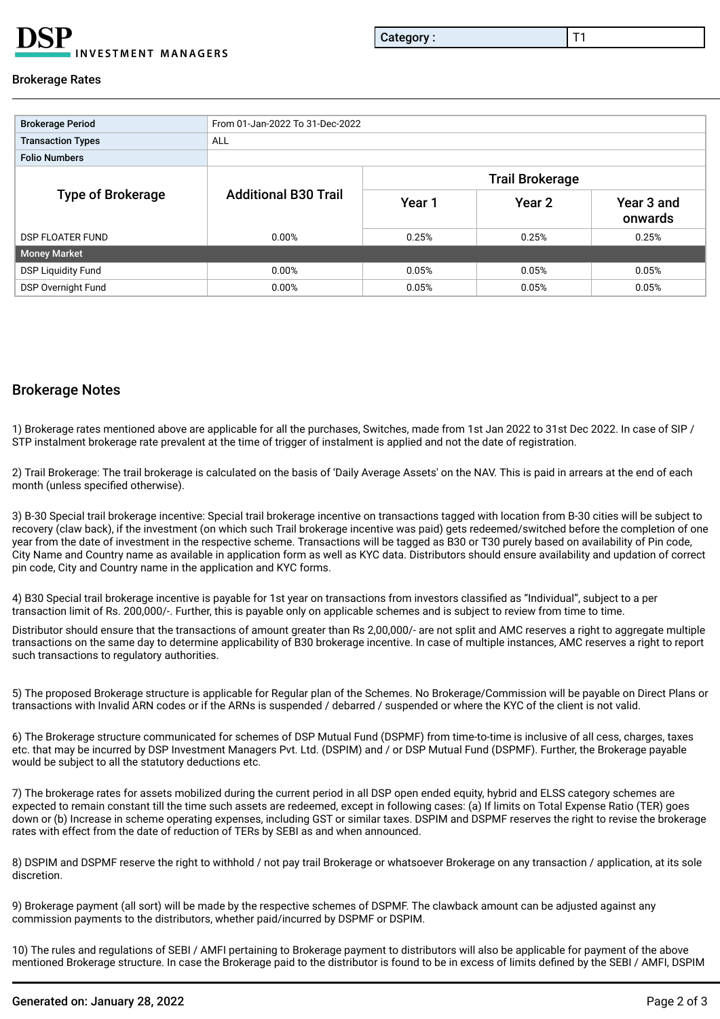**VESTMENT MANAGERS** 

Category : T1

## Brokerage Rates

| <b>Brokerage Period</b>   | From 01-Jan-2022 To 31-Dec-2022 |                        |                   |                       |  |  |  |
|---------------------------|---------------------------------|------------------------|-------------------|-----------------------|--|--|--|
| <b>Transaction Types</b>  | <b>ALL</b>                      |                        |                   |                       |  |  |  |
| <b>Folio Numbers</b>      |                                 |                        |                   |                       |  |  |  |
| <b>Type of Brokerage</b>  | <b>Additional B30 Trail</b>     | <b>Trail Brokerage</b> |                   |                       |  |  |  |
|                           |                                 | Year 1                 | Year <sub>2</sub> | Year 3 and<br>onwards |  |  |  |
| DSP FLOATER FUND          | 0.00%                           | 0.25%                  | 0.25%             | 0.25%                 |  |  |  |
| <b>Money Market</b>       |                                 |                        |                   |                       |  |  |  |
| <b>DSP Liquidity Fund</b> | 0.00%                           | 0.05%                  | 0.05%             | 0.05%                 |  |  |  |
| DSP Overnight Fund        | 0.00%                           | 0.05%                  | 0.05%             | 0.05%                 |  |  |  |

## Brokerage Notes

1) Brokerage rates mentioned above are applicable for all the purchases, Switches, made from 1st Jan 2022 to 31st Dec 2022. In case of SIP / STP instalment brokerage rate prevalent at the time of trigger of instalment is applied and not the date of registration.

2) Trail Brokerage: The trail brokerage is calculated on the basis of 'Daily Average Assets' on the NAV. This is paid in arrears at the end of each month (unless specifed otherwise).

3) B-30 Special trail brokerage incentive: Special trail brokerage incentive on transactions tagged with location from B-30 cities will be subject to recovery (claw back), if the investment (on which such Trail brokerage incentive was paid) gets redeemed/switched before the completion of one year from the date of investment in the respective scheme. Transactions will be tagged as B30 or T30 purely based on availability of Pin code, City Name and Country name as available in application form as well as KYC data. Distributors should ensure availability and updation of correct pin code, City and Country name in the application and KYC forms.

4) B30 Special trail brokerage incentive is payable for 1st year on transactions from investors classifed as "Individual", subject to a per transaction limit of Rs. 200,000/-. Further, this is payable only on applicable schemes and is subject to review from time to time.

Distributor should ensure that the transactions of amount greater than Rs 2,00,000/- are not split and AMC reserves a right to aggregate multiple transactions on the same day to determine applicability of B30 brokerage incentive. In case of multiple instances, AMC reserves a right to report such transactions to regulatory authorities.

5) The proposed Brokerage structure is applicable for Regular plan of the Schemes. No Brokerage/Commission will be payable on Direct Plans or transactions with Invalid ARN codes or if the ARNs is suspended / debarred / suspended or where the KYC of the client is not valid.

6) The Brokerage structure communicated for schemes of DSP Mutual Fund (DSPMF) from time-to-time is inclusive of all cess, charges, taxes etc. that may be incurred by DSP Investment Managers Pvt. Ltd. (DSPIM) and / or DSP Mutual Fund (DSPMF). Further, the Brokerage payable would be subject to all the statutory deductions etc.

7) The brokerage rates for assets mobilized during the current period in all DSP open ended equity, hybrid and ELSS category schemes are expected to remain constant till the time such assets are redeemed, except in following cases: (a) If limits on Total Expense Ratio (TER) goes down or (b) Increase in scheme operating expenses, including GST or similar taxes. DSPIM and DSPMF reserves the right to revise the brokerage rates with effect from the date of reduction of TERs by SEBI as and when announced.

8) DSPIM and DSPMF reserve the right to withhold / not pay trail Brokerage or whatsoever Brokerage on any transaction / application, at its sole discretion.

9) Brokerage payment (all sort) will be made by the respective schemes of DSPMF. The clawback amount can be adjusted against any commission payments to the distributors, whether paid/incurred by DSPMF or DSPIM.

10) The rules and regulations of SEBI / AMFI pertaining to Brokerage payment to distributors will also be applicable for payment of the above mentioned Brokerage structure. In case the Brokerage paid to the distributor is found to be in excess of limits defned by the SEBI / AMFI, DSPIM